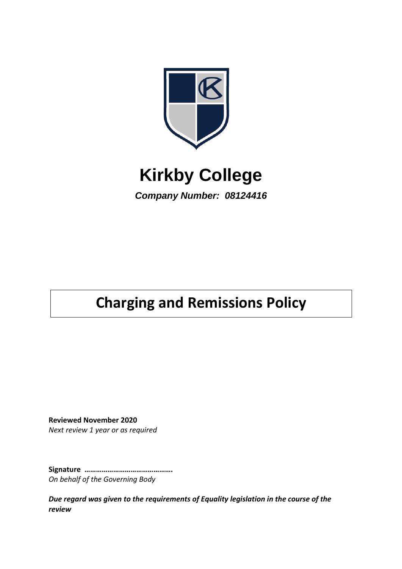

# **Kirkby College**

*Company Number: 08124416*

# **Charging and Remissions Policy**

**Reviewed November 2020** *Next review 1 year or as required*

**Signature ……………………………………….** *On behalf of the Governing Body*

*Due regard was given to the requirements of Equality legislation in the course of the review*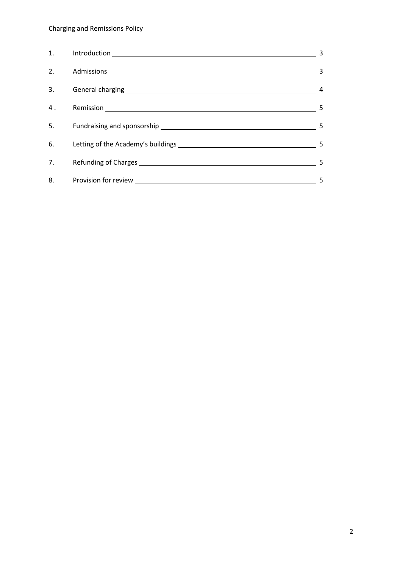# Charging and Remissions Policy

| 1. | 3                       |
|----|-------------------------|
| 2. | $\overline{\mathbf{3}}$ |
| 3. | 4                       |
| 4. | - 5                     |
| 5. | 5                       |
|    | 5                       |
|    | 5                       |
| 8. | 5                       |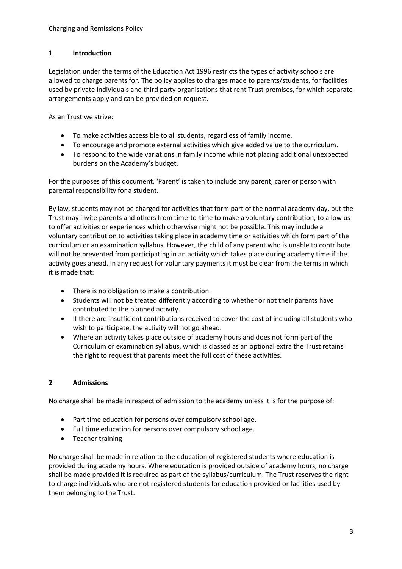### **1 Introduction**

Legislation under the terms of the Education Act 1996 restricts the types of activity schools are allowed to charge parents for. The policy applies to charges made to parents/students, for facilities used by private individuals and third party organisations that rent Trust premises, for which separate arrangements apply and can be provided on request.

As an Trust we strive:

- To make activities accessible to all students, regardless of family income.
- To encourage and promote external activities which give added value to the curriculum.
- To respond to the wide variations in family income while not placing additional unexpected burdens on the Academy's budget.

For the purposes of this document, 'Parent' is taken to include any parent, carer or person with parental responsibility for a student.

By law, students may not be charged for activities that form part of the normal academy day, but the Trust may invite parents and others from time-to-time to make a voluntary contribution, to allow us to offer activities or experiences which otherwise might not be possible. This may include a voluntary contribution to activities taking place in academy time or activities which form part of the curriculum or an examination syllabus. However, the child of any parent who is unable to contribute will not be prevented from participating in an activity which takes place during academy time if the activity goes ahead. In any request for voluntary payments it must be clear from the terms in which it is made that:

- There is no obligation to make a contribution.
- Students will not be treated differently according to whether or not their parents have contributed to the planned activity.
- If there are insufficient contributions received to cover the cost of including all students who wish to participate, the activity will not go ahead.
- Where an activity takes place outside of academy hours and does not form part of the Curriculum or examination syllabus, which is classed as an optional extra the Trust retains the right to request that parents meet the full cost of these activities.

### **2 Admissions**

No charge shall be made in respect of admission to the academy unless it is for the purpose of:

- Part time education for persons over compulsory school age.
- Full time education for persons over compulsory school age.
- Teacher training

No charge shall be made in relation to the education of registered students where education is provided during academy hours. Where education is provided outside of academy hours, no charge shall be made provided it is required as part of the syllabus/curriculum. The Trust reserves the right to charge individuals who are not registered students for education provided or facilities used by them belonging to the Trust.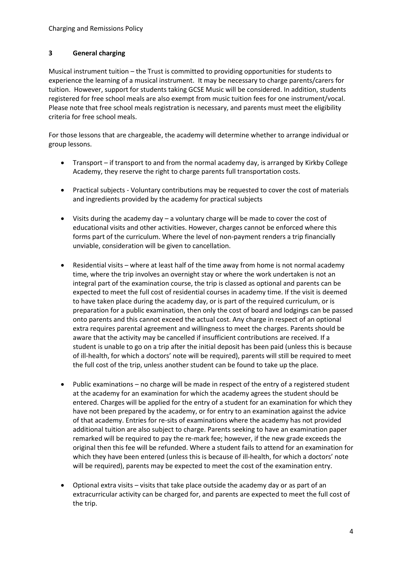## **3 General charging**

Musical instrument tuition – the Trust is committed to providing opportunities for students to experience the learning of a musical instrument. It may be necessary to charge parents/carers for tuition. However, support for students taking GCSE Music will be considered. In addition, students registered for free school meals are also exempt from music tuition fees for one instrument/vocal. Please note that free school meals registration is necessary, and parents must meet the eligibility criteria for free school meals.

For those lessons that are chargeable, the academy will determine whether to arrange individual or group lessons.

- Transport if transport to and from the normal academy day, is arranged by Kirkby College Academy, they reserve the right to charge parents full transportation costs.
- Practical subjects Voluntary contributions may be requested to cover the cost of materials and ingredients provided by the academy for practical subjects
- Visits during the academy day a voluntary charge will be made to cover the cost of educational visits and other activities. However, charges cannot be enforced where this forms part of the curriculum. Where the level of non-payment renders a trip financially unviable, consideration will be given to cancellation.
- Residential visits where at least half of the time away from home is not normal academy time, where the trip involves an overnight stay or where the work undertaken is not an integral part of the examination course, the trip is classed as optional and parents can be expected to meet the full cost of residential courses in academy time. If the visit is deemed to have taken place during the academy day, or is part of the required curriculum, or is preparation for a public examination, then only the cost of board and lodgings can be passed onto parents and this cannot exceed the actual cost. Any charge in respect of an optional extra requires parental agreement and willingness to meet the charges. Parents should be aware that the activity may be cancelled if insufficient contributions are received. If a student is unable to go on a trip after the initial deposit has been paid (unless this is because of ill-health, for which a doctors' note will be required), parents will still be required to meet the full cost of the trip, unless another student can be found to take up the place.
- Public examinations no charge will be made in respect of the entry of a registered student at the academy for an examination for which the academy agrees the student should be entered. Charges will be applied for the entry of a student for an examination for which they have not been prepared by the academy, or for entry to an examination against the advice of that academy. Entries for re-sits of examinations where the academy has not provided additional tuition are also subject to charge. Parents seeking to have an examination paper remarked will be required to pay the re-mark fee; however, if the new grade exceeds the original then this fee will be refunded. Where a student fails to attend for an examination for which they have been entered (unless this is because of ill-health, for which a doctors' note will be required), parents may be expected to meet the cost of the examination entry.
- Optional extra visits visits that take place outside the academy day or as part of an extracurricular activity can be charged for, and parents are expected to meet the full cost of the trip.